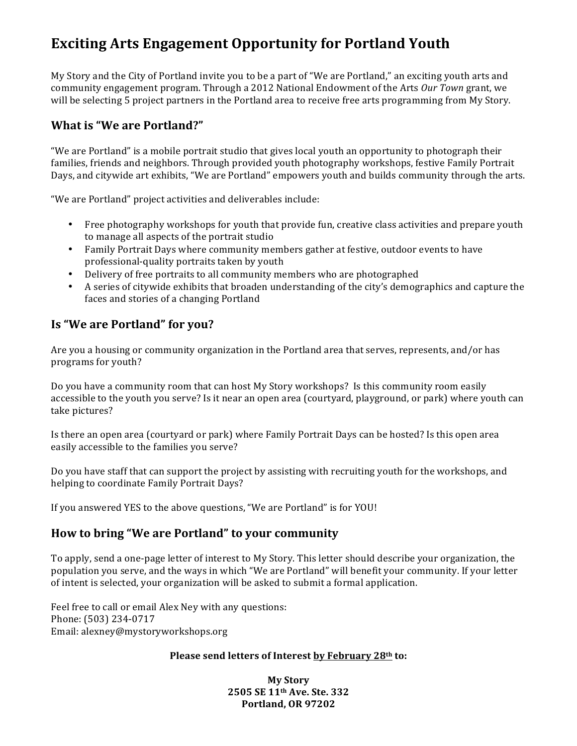## **Exciting Arts Engagement Opportunity for Portland Youth**

My Story and the City of Portland invite you to be a part of "We are Portland," an exciting youth arts and community engagement program. Through a 2012 National Endowment of the Arts Our Town grant, we will be selecting 5 project partners in the Portland area to receive free arts programming from My Story.

#### **What is "We are Portland?"**

"We are Portland" is a mobile portrait studio that gives local youth an opportunity to photograph their families, friends and neighbors. Through provided youth photography workshops, festive Family Portrait Days, and citywide art exhibits, "We are Portland" empowers youth and builds community through the arts.

"We are Portland" project activities and deliverables include:

- Free photography workshops for youth that provide fun, creative class activities and prepare youth to manage all aspects of the portrait studio
- Family Portrait Days where community members gather at festive, outdoor events to have professional-quality portraits taken by youth
- Delivery of free portraits to all community members who are photographed
- A series of citywide exhibits that broaden understanding of the city's demographics and capture the faces and stories of a changing Portland

### **Is "We are Portland" for you?**

Are you a housing or community organization in the Portland area that serves, represents, and/or has programs for youth?

Do you have a community room that can host My Story workshops? Is this community room easily accessible to the youth you serve? Is it near an open area (courtyard, playground, or park) where youth can take pictures?

Is there an open area (courtyard or park) where Family Portrait Days can be hosted? Is this open area easily accessible to the families you serve?

Do you have staff that can support the project by assisting with recruiting youth for the workshops, and helping to coordinate Family Portrait Days?

If you answered YES to the above questions, "We are Portland" is for YOU!

### **How to bring "We are Portland" to your community**

To apply, send a one-page letter of interest to My Story. This letter should describe your organization, the population you serve, and the ways in which "We are Portland" will benefit your community. If your letter of intent is selected, your organization will be asked to submit a formal application.

Feel free to call or email Alex Ney with any questions: Phone: (503) 234-0717 Email: alexney@mystoryworkshops.org

#### **Please send letters of Interest by February 28th to:**

**My Story 2505 SE 11th Ave. Ste. 332 Portland, OR 97202**